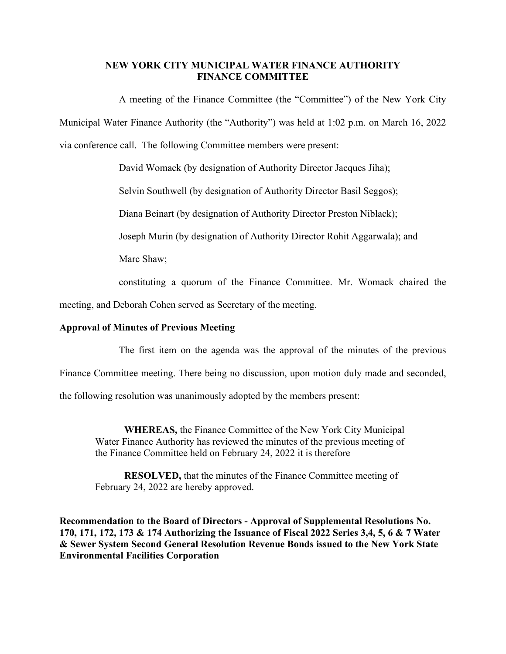## **NEW YORK CITY MUNICIPAL WATER FINANCE AUTHORITY FINANCE COMMITTEE**

A meeting of the Finance Committee (the "Committee") of the New York City Municipal Water Finance Authority (the "Authority") was held at 1:02 p.m. on March 16, 2022 via conference call. The following Committee members were present:

David Womack (by designation of Authority Director Jacques Jiha);

Selvin Southwell (by designation of Authority Director Basil Seggos);

Diana Beinart (by designation of Authority Director Preston Niblack);

Joseph Murin (by designation of Authority Director Rohit Aggarwala); and

Marc Shaw;

constituting a quorum of the Finance Committee. Mr. Womack chaired the

meeting, and Deborah Cohen served as Secretary of the meeting.

# **Approval of Minutes of Previous Meeting**

The first item on the agenda was the approval of the minutes of the previous

Finance Committee meeting. There being no discussion, upon motion duly made and seconded,

the following resolution was unanimously adopted by the members present:

**WHEREAS,** the Finance Committee of the New York City Municipal Water Finance Authority has reviewed the minutes of the previous meeting of the Finance Committee held on February 24, 2022 it is therefore

**RESOLVED,** that the minutes of the Finance Committee meeting of February 24, 2022 are hereby approved.

**Recommendation to the Board of Directors - Approval of Supplemental Resolutions No. 170, 171, 172, 173 & 174 Authorizing the Issuance of Fiscal 2022 Series 3,4, 5, 6 & 7 Water & Sewer System Second General Resolution Revenue Bonds issued to the New York State Environmental Facilities Corporation**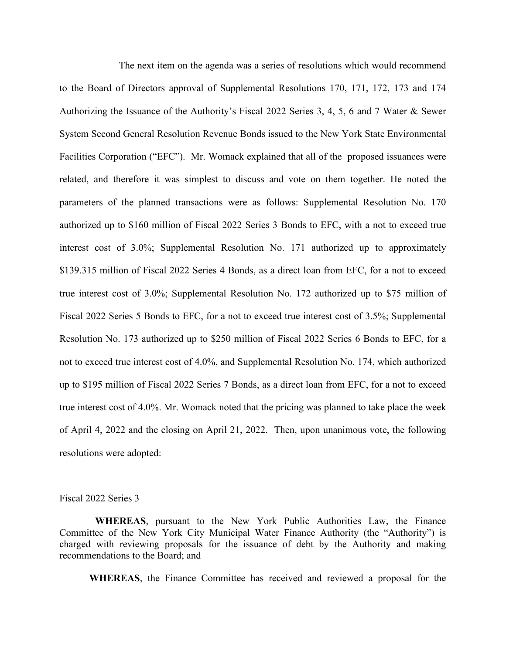The next item on the agenda was a series of resolutions which would recommend to the Board of Directors approval of Supplemental Resolutions 170, 171, 172, 173 and 174 Authorizing the Issuance of the Authority's Fiscal 2022 Series 3, 4, 5, 6 and 7 Water & Sewer System Second General Resolution Revenue Bonds issued to the New York State Environmental Facilities Corporation ("EFC"). Mr. Womack explained that all of the proposed issuances were related, and therefore it was simplest to discuss and vote on them together. He noted the parameters of the planned transactions were as follows: Supplemental Resolution No. 170 authorized up to \$160 million of Fiscal 2022 Series 3 Bonds to EFC, with a not to exceed true interest cost of 3.0%; Supplemental Resolution No. 171 authorized up to approximately \$139.315 million of Fiscal 2022 Series 4 Bonds, as a direct loan from EFC, for a not to exceed true interest cost of 3.0%; Supplemental Resolution No. 172 authorized up to \$75 million of Fiscal 2022 Series 5 Bonds to EFC, for a not to exceed true interest cost of 3.5%; Supplemental Resolution No. 173 authorized up to \$250 million of Fiscal 2022 Series 6 Bonds to EFC, for a not to exceed true interest cost of 4.0%, and Supplemental Resolution No. 174, which authorized up to \$195 million of Fiscal 2022 Series 7 Bonds, as a direct loan from EFC, for a not to exceed true interest cost of 4.0%. Mr. Womack noted that the pricing was planned to take place the week of April 4, 2022 and the closing on April 21, 2022. Then, upon unanimous vote, the following resolutions were adopted:

#### Fiscal 2022 Series 3

 **WHEREAS**, pursuant to the New York Public Authorities Law, the Finance Committee of the New York City Municipal Water Finance Authority (the "Authority") is charged with reviewing proposals for the issuance of debt by the Authority and making recommendations to the Board; and

**WHEREAS**, the Finance Committee has received and reviewed a proposal for the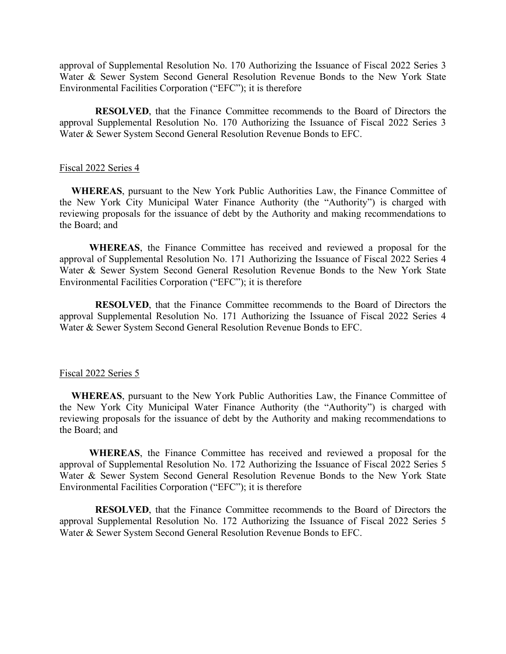approval of Supplemental Resolution No. 170 Authorizing the Issuance of Fiscal 2022 Series 3 Water & Sewer System Second General Resolution Revenue Bonds to the New York State Environmental Facilities Corporation ("EFC"); it is therefore

**RESOLVED**, that the Finance Committee recommends to the Board of Directors the approval Supplemental Resolution No. 170 Authorizing the Issuance of Fiscal 2022 Series 3 Water & Sewer System Second General Resolution Revenue Bonds to EFC.

### Fiscal 2022 Series 4

**WHEREAS**, pursuant to the New York Public Authorities Law, the Finance Committee of the New York City Municipal Water Finance Authority (the "Authority") is charged with reviewing proposals for the issuance of debt by the Authority and making recommendations to the Board; and

**WHEREAS**, the Finance Committee has received and reviewed a proposal for the approval of Supplemental Resolution No. 171 Authorizing the Issuance of Fiscal 2022 Series 4 Water & Sewer System Second General Resolution Revenue Bonds to the New York State Environmental Facilities Corporation ("EFC"); it is therefore

**RESOLVED**, that the Finance Committee recommends to the Board of Directors the approval Supplemental Resolution No. 171 Authorizing the Issuance of Fiscal 2022 Series 4 Water & Sewer System Second General Resolution Revenue Bonds to EFC.

#### Fiscal 2022 Series 5

**WHEREAS**, pursuant to the New York Public Authorities Law, the Finance Committee of the New York City Municipal Water Finance Authority (the "Authority") is charged with reviewing proposals for the issuance of debt by the Authority and making recommendations to the Board; and

**WHEREAS**, the Finance Committee has received and reviewed a proposal for the approval of Supplemental Resolution No. 172 Authorizing the Issuance of Fiscal 2022 Series 5 Water & Sewer System Second General Resolution Revenue Bonds to the New York State Environmental Facilities Corporation ("EFC"); it is therefore

 **RESOLVED**, that the Finance Committee recommends to the Board of Directors the approval Supplemental Resolution No. 172 Authorizing the Issuance of Fiscal 2022 Series 5 Water & Sewer System Second General Resolution Revenue Bonds to EFC.